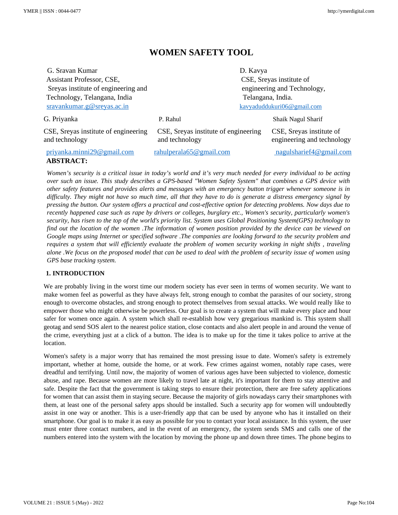# **WOMEN SAFETY TOOL**

| G. Sravan Kumar                                        | D. Kavya                                               |                                                        |  |  |  |  |
|--------------------------------------------------------|--------------------------------------------------------|--------------------------------------------------------|--|--|--|--|
| Assistant Professor, CSE,                              | CSE, Sreyas institute of                               |                                                        |  |  |  |  |
| Sreyas institute of engineering and                    | engineering and Technology,                            |                                                        |  |  |  |  |
| Technology, Telangana, India                           | Telangana, India.                                      |                                                        |  |  |  |  |
| sravankumar.g@sreyas.ac.in                             |                                                        | kavyaduddukuri06@gmail.com                             |  |  |  |  |
| G. Priyanka                                            | P. Rahul                                               | Shaik Nagul Sharif                                     |  |  |  |  |
| CSE, Sreyas institute of engineering<br>and technology | CSE, Sreyas institute of engineering<br>and technology | CSE, Sreyas institute of<br>engineering and technology |  |  |  |  |
| priyanka.minni29@gmail.com<br><b>ABSTRACT:</b>         | rahulperala65@gmail.com                                | nagulsharief4@gmail.com                                |  |  |  |  |

*Women's security is a critical issue in today's world and it's very much needed for every individual to be acting over such an issue. This study describes a GPS-based "Women Safety System" that combines a GPS device with other safety features and provides alerts and messages with an emergency button trigger whenever someone is in difficulty. They might not have so much time, all that they have to do is generate a distress emergency signal by pressing the button. Our system offers a practical and cost-effective option for detecting problems. Now days due to recently happened case such as rape by drivers or colleges, burglary etc., Women's security, particularly women's security, has risen to the top of the world's priority list. System uses Global Positioning System(GPS) technology to find out the location of the women .The information of women position provided by the device can be viewed on Google maps using Internet or specified software .The companies are looking forward to the security problem and requires a system that will efficiently evaluate the problem of women security working in night shifts , traveling alone .We focus on the proposed model that can be used to deal with the problem of security issue of women using GPS base tracking system.* 

# **1. INTRODUCTION**

We are probably living in the worst time our modern society has ever seen in terms of women security. We want to make women feel as powerful as they have always felt, strong enough to combat the parasites of our society, strong enough to overcome obstacles, and strong enough to protect themselves from sexual attacks. We would really like to empower those who might otherwise be powerless. Our goal is to create a system that will make every place and hour safer for women once again. A system which shall re-establish how very gregarious mankind is. This system shall geotag and send SOS alert to the nearest police station, close contacts and also alert people in and around the venue of the crime, everything just at a click of a button. The idea is to make up for the time it takes police to arrive at the location.

Women's safety is a major worry that has remained the most pressing issue to date. Women's safety is extremely important, whether at home, outside the home, or at work. Few crimes against women, notably rape cases, were dreadful and terrifying. Until now, the majority of women of various ages have been subjected to violence, domestic abuse, and rape. Because women are more likely to travel late at night, it's important for them to stay attentive and safe. Despite the fact that the government is taking steps to ensure their protection, there are free safety applications for women that can assist them in staying secure. Because the majority of girls nowadays carry their smartphones with them, at least one of the personal safety apps should be installed. Such a security app for women will undoubtedly assist in one way or another. This is a user-friendly app that can be used by anyone who has it installed on their smartphone. Our goal is to make it as easy as possible for you to contact your local assistance. In this system, the user must enter three contact numbers, and in the event of an emergency, the system sends SMS and calls one of the numbers entered into the system with the location by moving the phone up and down three times. The phone begins to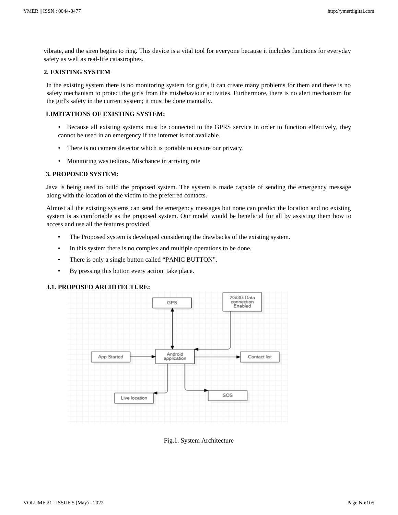vibrate, and the siren begins to ring. This device is a vital tool for everyone because it includes functions for everyday safety as well as real-life catastrophes.

# **2. EXISTING SYSTEM**

In the existing system there is no monitoring system for girls, it can create many problems for them and there is no safety mechanism to protect the girls from the misbehaviour activities. Furthermore, there is no alert mechanism for the girl's safety in the current system; it must be done manually.

# **LIMITATIONS OF EXISTING SYSTEM:**

- Because all existing systems must be connected to the GPRS service in order to function effectively, they cannot be used in an emergency if the internet is not available.
- There is no camera detector which is portable to ensure our privacy.
- Monitoring was tedious. Mischance in arriving rate

### **3. PROPOSED SYSTEM:**

Java is being used to build the proposed system. The system is made capable of sending the emergency message along with the location of the victim to the preferred contacts.

Almost all the existing systems can send the emergency messages but none can predict the location and no existing system is as comfortable as the proposed system. Our model would be beneficial for all by assisting them how to access and use all the features provided.

- The Proposed system is developed considering the drawbacks of the existing system.
- In this system there is no complex and multiple operations to be done.
- There is only a single button called "PANIC BUTTON".
- By pressing this button every action take place.

### **3.1. PROPOSED ARCHITECTURE:**



Fig.1. System Architecture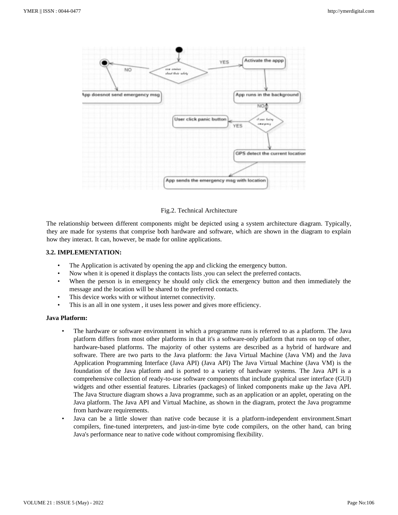

Fig.2. Technical Architecture

The relationship between different components might be depicted using a system architecture diagram. Typically, they are made for systems that comprise both hardware and software, which are shown in the diagram to explain how they interact. It can, however, be made for online applications.

# **3.2. IMPLEMENTATION:**

- The Application is activated by opening the app and clicking the emergency button.
- Now when it is opened it displays the contacts lists ,you can select the preferred contacts.
- When the person is in emergency he should only click the emergency button and then immediately the message and the location will be shared to the preferred contacts.
- This device works with or without internet connectivity.
- This is an all in one system, it uses less power and gives more efficiency.

# **Java Platform:**

- The hardware or software environment in which a programme runs is referred to as a platform. The Java platform differs from most other platforms in that it's a software-only platform that runs on top of other, hardware-based platforms. The majority of other systems are described as a hybrid of hardware and software. There are two parts to the Java platform: the Java Virtual Machine (Java VM) and the Java Application Programming Interface (Java API) (Java API) The Java Virtual Machine (Java VM) is the foundation of the Java platform and is ported to a variety of hardware systems. The Java API is a comprehensive collection of ready-to-use software components that include graphical user interface (GUI) widgets and other essential features. Libraries (packages) of linked components make up the Java API. The Java Structure diagram shows a Java programme, such as an application or an applet, operating on the Java platform. The Java API and Virtual Machine, as shown in the diagram, protect the Java programme from hardware requirements.
- Java can be a little slower than native code because it is a platform-independent environment.Smart compilers, fine-tuned interpreters, and just-in-time byte code compilers, on the other hand, can bring Java's performance near to native code without compromising flexibility.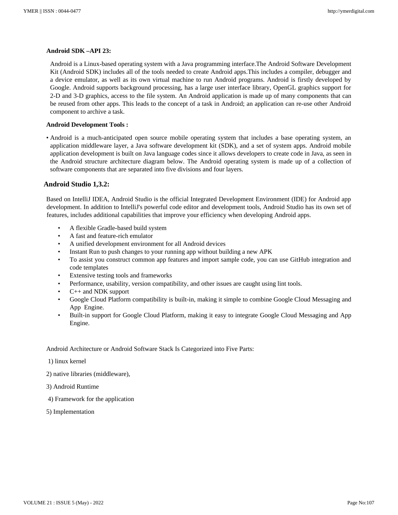### **Android SDK –API 23:**

Android is a Linux-based operating system with a Java programming interface.The Android Software Development Kit (Android SDK) includes all of the tools needed to create Android apps.This includes a compiler, debugger and a device emulator, as well as its own virtual machine to run Android programs. Android is firstly developed by Google. Android supports background processing, has a large user interface library, OpenGL graphics support for 2-D and 3-D graphics, access to the file system. An Android application is made up of many components that can be reused from other apps. This leads to the concept of a task in Android; an application can re-use other Android component to archive a task.

### **Android Development Tools :**

• Android is a much-anticipated open source mobile operating system that includes a base operating system, an application middleware layer, a Java software development kit (SDK), and a set of system apps. Android mobile application development is built on Java language codes since it allows developers to create code in Java, as seen in the Android structure architecture diagram below. The Android operating system is made up of a collection of software components that are separated into five divisions and four layers.

# **Android Studio 1,3.2:**

Based on IntelliJ IDEA, Android Studio is the official Integrated Development Environment (IDE) for Android app development. In addition to IntelliJ's powerful code editor and development tools, Android Studio has its own set of features, includes additional capabilities that improve your efficiency when developing Android apps.

- A flexible Gradle-based build system
- A fast and feature-rich emulator
- A unified development environment for all Android devices
- Instant Run to push changes to your running app without building a new APK
- To assist you construct common app features and import sample code, you can use GitHub integration and code templates
- Extensive testing tools and frameworks
- Performance, usability, version compatibility, and other issues are caught using lint tools.
- C++ and NDK support
- Google Cloud Platform compatibility is built-in, making it simple to combine Google Cloud Messaging and App Engine.
- Built-in support for Google Cloud Platform, making it easy to integrate Google Cloud Messaging and App Engine.

### Android Architecture or Android Software Stack Is Categorized into Five Parts:

- 1) linux kernel
- 2) native libraries (middleware),
- 3) Android Runtime
- 4) Framework for the application
- 5) Implementation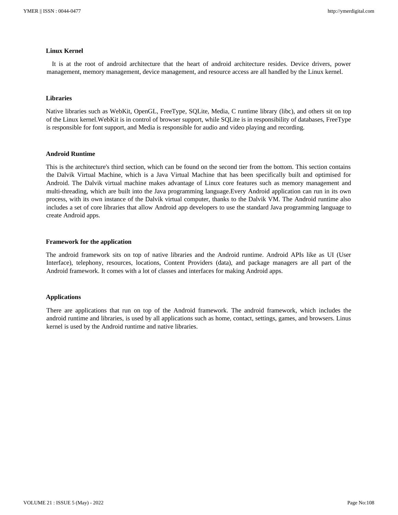#### **Linux Kernel**

 It is at the root of android architecture that the heart of android architecture resides. Device drivers, power management, memory management, device management, and resource access are all handled by the Linux kernel.

#### **Libraries**

Native libraries such as WebKit, OpenGL, FreeType, SQLite, Media, C runtime library (libc), and others sit on top of the Linux kernel.WebKit is in control of browser support, while SQLite is in responsibility of databases, FreeType is responsible for font support, and Media is responsible for audio and video playing and recording.

### **Android Runtime**

This is the architecture's third section, which can be found on the second tier from the bottom. This section contains the Dalvik Virtual Machine, which is a Java Virtual Machine that has been specifically built and optimised for Android. The Dalvik virtual machine makes advantage of Linux core features such as memory management and multi-threading, which are built into the Java programming language.Every Android application can run in its own process, with its own instance of the Dalvik virtual computer, thanks to the Dalvik VM. The Android runtime also includes a set of core libraries that allow Android app developers to use the standard Java programming language to create Android apps.

#### **Framework for the application**

The android framework sits on top of native libraries and the Android runtime. Android APIs like as UI (User Interface), telephony, resources, locations, Content Providers (data), and package managers are all part of the Android framework. It comes with a lot of classes and interfaces for making Android apps.

### **Applications**

There are applications that run on top of the Android framework. The android framework, which includes the android runtime and libraries, is used by all applications such as home, contact, settings, games, and browsers. Linus kernel is used by the Android runtime and native libraries.